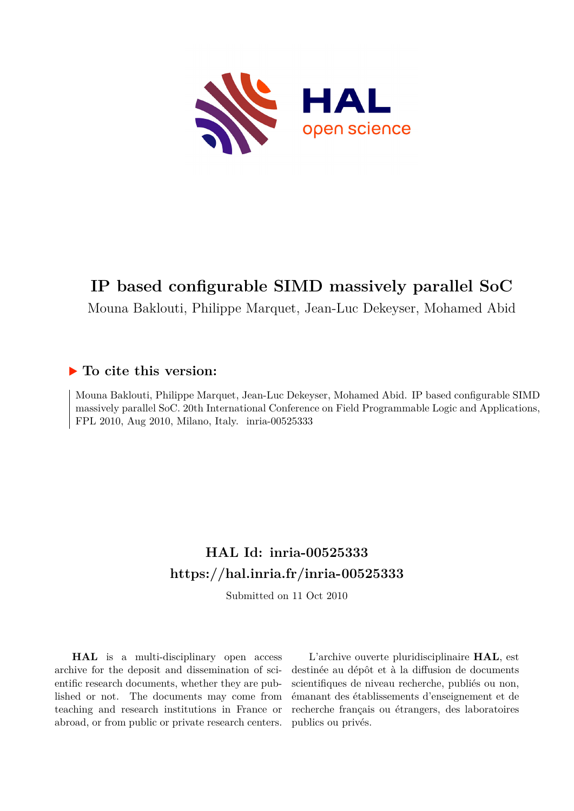

## **IP based configurable SIMD massively parallel SoC**

Mouna Baklouti, Philippe Marquet, Jean-Luc Dekeyser, Mohamed Abid

### **To cite this version:**

Mouna Baklouti, Philippe Marquet, Jean-Luc Dekeyser, Mohamed Abid. IP based configurable SIMD massively parallel SoC. 20th International Conference on Field Programmable Logic and Applications,  $FPL 2010$ , Aug  $2010$ , Milano, Italy. inria-00525333

## **HAL Id: inria-00525333 <https://hal.inria.fr/inria-00525333>**

Submitted on 11 Oct 2010

**HAL** is a multi-disciplinary open access archive for the deposit and dissemination of scientific research documents, whether they are published or not. The documents may come from teaching and research institutions in France or abroad, or from public or private research centers.

L'archive ouverte pluridisciplinaire **HAL**, est destinée au dépôt et à la diffusion de documents scientifiques de niveau recherche, publiés ou non, émanant des établissements d'enseignement et de recherche français ou étrangers, des laboratoires publics ou privés.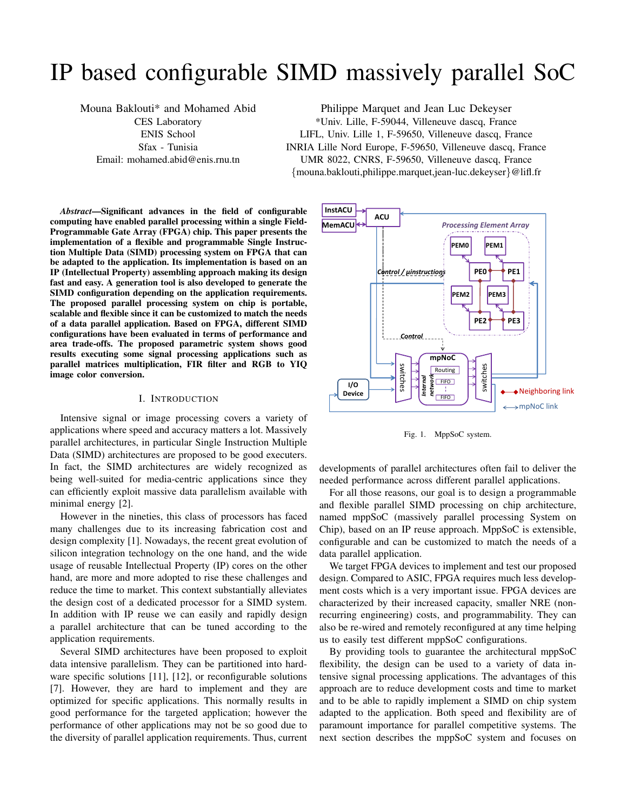# IP based configurable SIMD massively parallel SoC

Mouna Baklouti\* and Mohamed Abid CES Laboratory ENIS School Sfax - Tunisia Email: mohamed.abid@enis.rnu.tn

Philippe Marquet and Jean Luc Dekeyser \*Univ. Lille, F-59044, Villeneuve dascq, France LIFL, Univ. Lille 1, F-59650, Villeneuve dascq, France INRIA Lille Nord Europe, F-59650, Villeneuve dascq, France UMR 8022, CNRS, F-59650, Villeneuve dascq, France {mouna.baklouti,philippe.marquet,jean-luc.dekeyser}@lifl.fr

*Abstract*—Significant advances in the field of configurable computing have enabled parallel processing within a single Field-Programmable Gate Array (FPGA) chip. This paper presents the implementation of a flexible and programmable Single Instruction Multiple Data (SIMD) processing system on FPGA that can be adapted to the application. Its implementation is based on an IP (Intellectual Property) assembling approach making its design fast and easy. A generation tool is also developed to generate the SIMD configuration depending on the application requirements. The proposed parallel processing system on chip is portable, scalable and flexible since it can be customized to match the needs of a data parallel application. Based on FPGA, different SIMD configurations have been evaluated in terms of performance and area trade-offs. The proposed parametric system shows good results executing some signal processing applications such as parallel matrices multiplication, FIR filter and RGB to YIQ image color conversion.

#### I. INTRODUCTION

Intensive signal or image processing covers a variety of applications where speed and accuracy matters a lot. Massively parallel architectures, in particular Single Instruction Multiple Data (SIMD) architectures are proposed to be good executers. In fact, the SIMD architectures are widely recognized as being well-suited for media-centric applications since they can efficiently exploit massive data parallelism available with minimal energy [2].

However in the nineties, this class of processors has faced many challenges due to its increasing fabrication cost and design complexity [1]. Nowadays, the recent great evolution of silicon integration technology on the one hand, and the wide usage of reusable Intellectual Property (IP) cores on the other hand, are more and more adopted to rise these challenges and reduce the time to market. This context substantially alleviates the design cost of a dedicated processor for a SIMD system. In addition with IP reuse we can easily and rapidly design a parallel architecture that can be tuned according to the application requirements.

Several SIMD architectures have been proposed to exploit data intensive parallelism. They can be partitioned into hardware specific solutions [11], [12], or reconfigurable solutions [7]. However, they are hard to implement and they are optimized for specific applications. This normally results in good performance for the targeted application; however the performance of other applications may not be so good due to the diversity of parallel application requirements. Thus, current



Fig. 1. MppSoC system.

developments of parallel architectures often fail to deliver the needed performance across different parallel applications.

For all those reasons, our goal is to design a programmable and flexible parallel SIMD processing on chip architecture, named mppSoC (massively parallel processing System on Chip), based on an IP reuse approach. MppSoC is extensible, configurable and can be customized to match the needs of a data parallel application.

We target FPGA devices to implement and test our proposed design. Compared to ASIC, FPGA requires much less development costs which is a very important issue. FPGA devices are characterized by their increased capacity, smaller NRE (nonrecurring engineering) costs, and programmability. They can also be re-wired and remotely reconfigured at any time helping us to easily test different mppSoC configurations.

By providing tools to guarantee the architectural mppSoC flexibility, the design can be used to a variety of data intensive signal processing applications. The advantages of this approach are to reduce development costs and time to market and to be able to rapidly implement a SIMD on chip system adapted to the application. Both speed and flexibility are of paramount importance for parallel competitive systems. The next section describes the mppSoC system and focuses on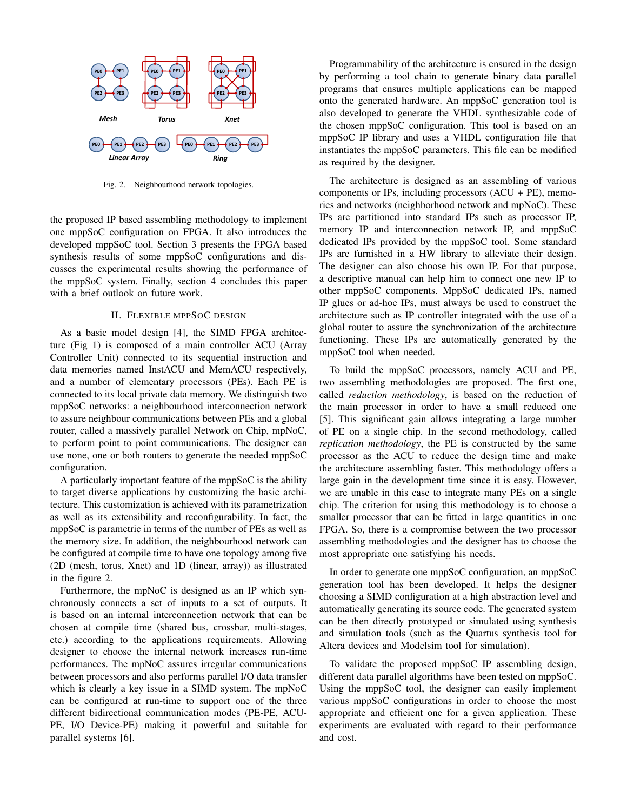

Fig. 2. Neighbourhood network topologies.

the proposed IP based assembling methodology to implement one mppSoC configuration on FPGA. It also introduces the developed mppSoC tool. Section 3 presents the FPGA based synthesis results of some mppSoC configurations and discusses the experimental results showing the performance of the mppSoC system. Finally, section 4 concludes this paper with a brief outlook on future work.

#### II. FLEXIBLE MPPSOC DESIGN

As a basic model design [4], the SIMD FPGA architecture (Fig 1) is composed of a main controller ACU (Array Controller Unit) connected to its sequential instruction and data memories named InstACU and MemACU respectively, and a number of elementary processors (PEs). Each PE is connected to its local private data memory. We distinguish two mppSoC networks: a neighbourhood interconnection network to assure neighbour communications between PEs and a global router, called a massively parallel Network on Chip, mpNoC, to perform point to point communications. The designer can use none, one or both routers to generate the needed mppSoC configuration.

A particularly important feature of the mppSoC is the ability to target diverse applications by customizing the basic architecture. This customization is achieved with its parametrization as well as its extensibility and reconfigurability. In fact, the mppSoC is parametric in terms of the number of PEs as well as the memory size. In addition, the neighbourhood network can be configured at compile time to have one topology among five (2D (mesh, torus, Xnet) and 1D (linear, array)) as illustrated in the figure 2.

Furthermore, the mpNoC is designed as an IP which synchronously connects a set of inputs to a set of outputs. It is based on an internal interconnection network that can be chosen at compile time (shared bus, crossbar, multi-stages, etc.) according to the applications requirements. Allowing designer to choose the internal network increases run-time performances. The mpNoC assures irregular communications between processors and also performs parallel I/O data transfer which is clearly a key issue in a SIMD system. The mpNoC can be configured at run-time to support one of the three different bidirectional communication modes (PE-PE, ACU-PE, I/O Device-PE) making it powerful and suitable for parallel systems [6].

Programmability of the architecture is ensured in the design by performing a tool chain to generate binary data parallel programs that ensures multiple applications can be mapped onto the generated hardware. An mppSoC generation tool is also developed to generate the VHDL synthesizable code of the chosen mppSoC configuration. This tool is based on an mppSoC IP library and uses a VHDL configuration file that instantiates the mppSoC parameters. This file can be modified as required by the designer.

The architecture is designed as an assembling of various components or IPs, including processors (ACU + PE), memories and networks (neighborhood network and mpNoC). These IPs are partitioned into standard IPs such as processor IP, memory IP and interconnection network IP, and mppSoC dedicated IPs provided by the mppSoC tool. Some standard IPs are furnished in a HW library to alleviate their design. The designer can also choose his own IP. For that purpose, a descriptive manual can help him to connect one new IP to other mppSoC components. MppSoC dedicated IPs, named IP glues or ad-hoc IPs, must always be used to construct the architecture such as IP controller integrated with the use of a global router to assure the synchronization of the architecture functioning. These IPs are automatically generated by the mppSoC tool when needed.

To build the mppSoC processors, namely ACU and PE, two assembling methodologies are proposed. The first one, called *reduction methodology*, is based on the reduction of the main processor in order to have a small reduced one [5]. This significant gain allows integrating a large number of PE on a single chip. In the second methodology, called *replication methodology*, the PE is constructed by the same processor as the ACU to reduce the design time and make the architecture assembling faster. This methodology offers a large gain in the development time since it is easy. However, we are unable in this case to integrate many PEs on a single chip. The criterion for using this methodology is to choose a smaller processor that can be fitted in large quantities in one FPGA. So, there is a compromise between the two processor assembling methodologies and the designer has to choose the most appropriate one satisfying his needs.

In order to generate one mppSoC configuration, an mppSoC generation tool has been developed. It helps the designer choosing a SIMD configuration at a high abstraction level and automatically generating its source code. The generated system can be then directly prototyped or simulated using synthesis and simulation tools (such as the Quartus synthesis tool for Altera devices and Modelsim tool for simulation).

To validate the proposed mppSoC IP assembling design, different data parallel algorithms have been tested on mppSoC. Using the mppSoC tool, the designer can easily implement various mppSoC configurations in order to choose the most appropriate and efficient one for a given application. These experiments are evaluated with regard to their performance and cost.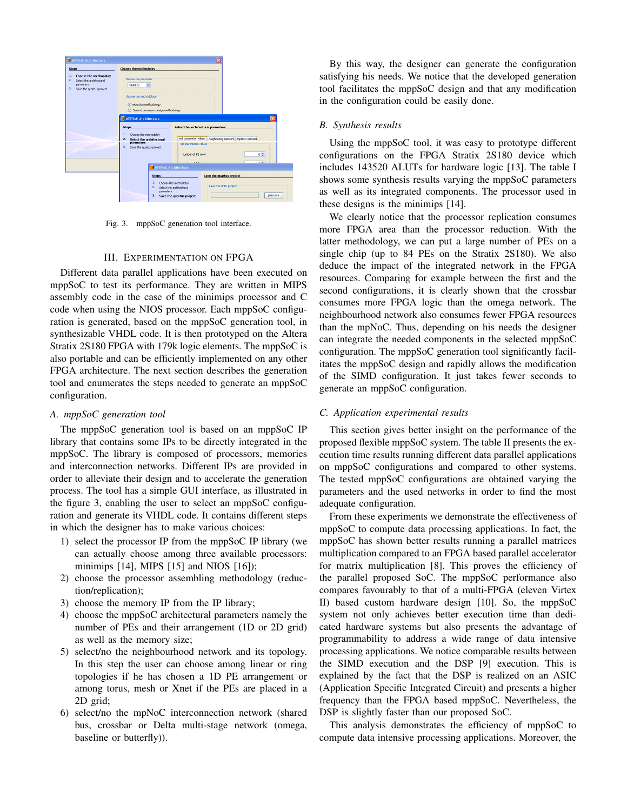

Fig. 3. mppSoC generation tool interface.

#### III. EXPERIMENTATION ON FPGA

Different data parallel applications have been executed on mppSoC to test its performance. They are written in MIPS assembly code in the case of the minimips processor and C code when using the NIOS processor. Each mppSoC configuration is generated, based on the mppSoC generation tool, in synthesizable VHDL code. It is then prototyped on the Altera Stratix 2S180 FPGA with 179k logic elements. The mppSoC is also portable and can be efficiently implemented on any other FPGA architecture. The next section describes the generation tool and enumerates the steps needed to generate an mppSoC configuration.

#### *A. mppSoC generation tool*

The mppSoC generation tool is based on an mppSoC IP library that contains some IPs to be directly integrated in the mppSoC. The library is composed of processors, memories and interconnection networks. Different IPs are provided in order to alleviate their design and to accelerate the generation process. The tool has a simple GUI interface, as illustrated in the figure 3, enabling the user to select an mppSoC configuration and generate its VHDL code. It contains different steps in which the designer has to make various choices:

- 1) select the processor IP from the mppSoC IP library (we can actually choose among three available processors: minimips [14], MIPS [15] and NIOS [16]);
- 2) choose the processor assembling methodology (reduction/replication);
- 3) choose the memory IP from the IP library;
- 4) choose the mppSoC architectural parameters namely the number of PEs and their arrangement (1D or 2D grid) as well as the memory size;
- 5) select/no the neighbourhood network and its topology. In this step the user can choose among linear or ring topologies if he has chosen a 1D PE arrangement or among torus, mesh or Xnet if the PEs are placed in a 2D grid;
- 6) select/no the mpNoC interconnection network (shared bus, crossbar or Delta multi-stage network (omega, baseline or butterfly)).

By this way, the designer can generate the configuration satisfying his needs. We notice that the developed generation tool facilitates the mppSoC design and that any modification in the configuration could be easily done.

#### *B. Synthesis results*

Using the mppSoC tool, it was easy to prototype different configurations on the FPGA Stratix 2S180 device which includes 143520 ALUTs for hardware logic [13]. The table I shows some synthesis results varying the mppSoC parameters as well as its integrated components. The processor used in these designs is the minimips [14].

We clearly notice that the processor replication consumes more FPGA area than the processor reduction. With the latter methodology, we can put a large number of PEs on a single chip (up to 84 PEs on the Stratix 2S180). We also deduce the impact of the integrated network in the FPGA resources. Comparing for example between the first and the second configurations, it is clearly shown that the crossbar consumes more FPGA logic than the omega network. The neighbourhood network also consumes fewer FPGA resources than the mpNoC. Thus, depending on his needs the designer can integrate the needed components in the selected mppSoC configuration. The mppSoC generation tool significantly facilitates the mppSoC design and rapidly allows the modification of the SIMD configuration. It just takes fewer seconds to generate an mppSoC configuration.

#### *C. Application experimental results*

This section gives better insight on the performance of the proposed flexible mppSoC system. The table II presents the execution time results running different data parallel applications on mppSoC configurations and compared to other systems. The tested mppSoC configurations are obtained varying the parameters and the used networks in order to find the most adequate configuration.

From these experiments we demonstrate the effectiveness of mppSoC to compute data processing applications. In fact, the mppSoC has shown better results running a parallel matrices multiplication compared to an FPGA based parallel accelerator for matrix multiplication [8]. This proves the efficiency of the parallel proposed SoC. The mppSoC performance also compares favourably to that of a multi-FPGA (eleven Virtex II) based custom hardware design [10]. So, the mppSoC system not only achieves better execution time than dedicated hardware systems but also presents the advantage of programmability to address a wide range of data intensive processing applications. We notice comparable results between the SIMD execution and the DSP [9] execution. This is explained by the fact that the DSP is realized on an ASIC (Application Specific Integrated Circuit) and presents a higher frequency than the FPGA based mppSoC. Nevertheless, the DSP is slightly faster than our proposed SoC.

This analysis demonstrates the efficiency of mppSoC to compute data intensive processing applications. Moreover, the